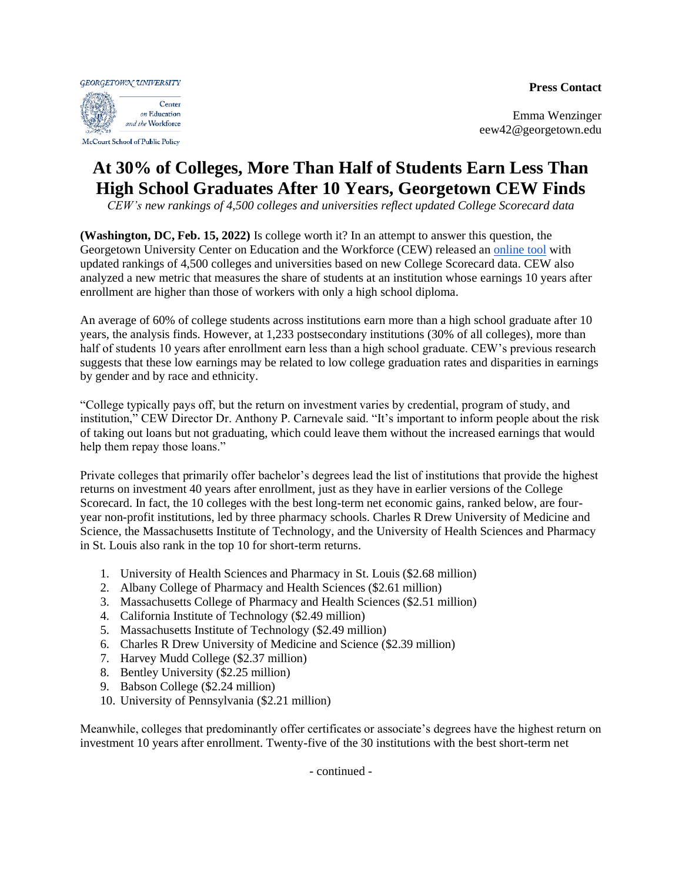**Press Contact**

**GEORGETOWN UNIVERSITY** Center on Education and the Workforce

McCourt School of Public Policy

Emma Wenzinger eew42@georgetown.edu

## **At 30% of Colleges, More Than Half of Students Earn Less Than High School Graduates After 10 Years, Georgetown CEW Finds**

*CEW's new rankings of 4,500 colleges and universities reflect updated College Scorecard data*

**(Washington, DC, Feb. 15, 2022)** Is college worth it? In an attempt to answer this question, the Georgetown University Center on Education and the Workforce (CEW) released an [online tool](https://cew.georgetown.edu/ROI2022) with updated rankings of 4,500 colleges and universities based on new College Scorecard data. CEW also analyzed a new metric that measures the share of students at an institution whose earnings 10 years after enrollment are higher than those of workers with only a high school diploma.

An average of 60% of college students across institutions earn more than a high school graduate after 10 years, the analysis finds. However, at 1,233 postsecondary institutions (30% of all colleges), more than half of students 10 years after enrollment earn less than a high school graduate. CEW's previous research suggests that these low earnings may be related to low college graduation rates and disparities in earnings by gender and by race and ethnicity.

"College typically pays off, but the return on investment varies by credential, program of study, and institution," CEW Director Dr. Anthony P. Carnevale said. "It's important to inform people about the risk of taking out loans but not graduating, which could leave them without the increased earnings that would help them repay those loans."

Private colleges that primarily offer bachelor's degrees lead the list of institutions that provide the highest returns on investment 40 years after enrollment, just as they have in earlier versions of the College Scorecard. In fact, the 10 colleges with the best long-term net economic gains, ranked below, are fouryear non-profit institutions, led by three pharmacy schools. Charles R Drew University of Medicine and Science, the Massachusetts Institute of Technology, and the University of Health Sciences and Pharmacy in St. Louis also rank in the top 10 for short-term returns.

- 1. University of Health Sciences and Pharmacy in St. Louis (\$2.68 million)
- 2. Albany College of Pharmacy and Health Sciences (\$2.61 million)
- 3. Massachusetts College of Pharmacy and Health Sciences (\$2.51 million)
- 4. California Institute of Technology (\$2.49 million)
- 5. Massachusetts Institute of Technology (\$2.49 million)
- 6. Charles R Drew University of Medicine and Science (\$2.39 million)
- 7. Harvey Mudd College (\$2.37 million)
- 8. Bentley University (\$2.25 million)
- 9. Babson College (\$2.24 million)
- 10. University of Pennsylvania (\$2.21 million)

Meanwhile, colleges that predominantly offer certificates or associate's degrees have the highest return on investment 10 years after enrollment. Twenty-five of the 30 institutions with the best short-term net

- continued -